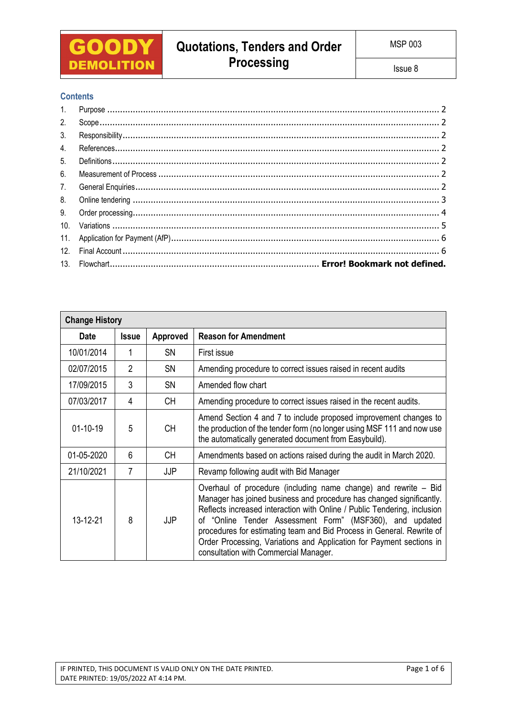

## **Contents**

| 1.             |  |
|----------------|--|
| 2.             |  |
| 3.             |  |
| 4.             |  |
| 5 <sub>1</sub> |  |
| 6.             |  |
| 7.             |  |
| 8.             |  |
| 9.             |  |
|                |  |
|                |  |
| 12.            |  |
|                |  |

| <b>Change History</b> |                |           |                                                                                                                                                                                                                                                                                                                                                                                                                                                                           |  |  |  |
|-----------------------|----------------|-----------|---------------------------------------------------------------------------------------------------------------------------------------------------------------------------------------------------------------------------------------------------------------------------------------------------------------------------------------------------------------------------------------------------------------------------------------------------------------------------|--|--|--|
| <b>Date</b>           | <b>Issue</b>   | Approved  | <b>Reason for Amendment</b>                                                                                                                                                                                                                                                                                                                                                                                                                                               |  |  |  |
| 10/01/2014            | 1              | <b>SN</b> | First issue                                                                                                                                                                                                                                                                                                                                                                                                                                                               |  |  |  |
| 02/07/2015            | $\overline{2}$ | <b>SN</b> | Amending procedure to correct issues raised in recent audits                                                                                                                                                                                                                                                                                                                                                                                                              |  |  |  |
| 17/09/2015            | 3              | <b>SN</b> | Amended flow chart                                                                                                                                                                                                                                                                                                                                                                                                                                                        |  |  |  |
| 07/03/2017            | 4              | CH.       | Amending procedure to correct issues raised in the recent audits.                                                                                                                                                                                                                                                                                                                                                                                                         |  |  |  |
| $01-10-19$            | 5              | <b>CH</b> | Amend Section 4 and 7 to include proposed improvement changes to<br>the production of the tender form (no longer using MSF 111 and now use<br>the automatically generated document from Easybuild).                                                                                                                                                                                                                                                                       |  |  |  |
| 01-05-2020            | 6              | <b>CH</b> | Amendments based on actions raised during the audit in March 2020.                                                                                                                                                                                                                                                                                                                                                                                                        |  |  |  |
| 21/10/2021            | 7              | JJP       | Revamp following audit with Bid Manager                                                                                                                                                                                                                                                                                                                                                                                                                                   |  |  |  |
| 13-12-21              | 8              | JJP       | Overhaul of procedure (including name change) and rewrite – Bid<br>Manager has joined business and procedure has changed significantly.<br>Reflects increased interaction with Online / Public Tendering, inclusion<br>of "Online Tender Assessment Form" (MSF360), and updated<br>procedures for estimating team and Bid Process in General. Rewrite of<br>Order Processing, Variations and Application for Payment sections in<br>consultation with Commercial Manager. |  |  |  |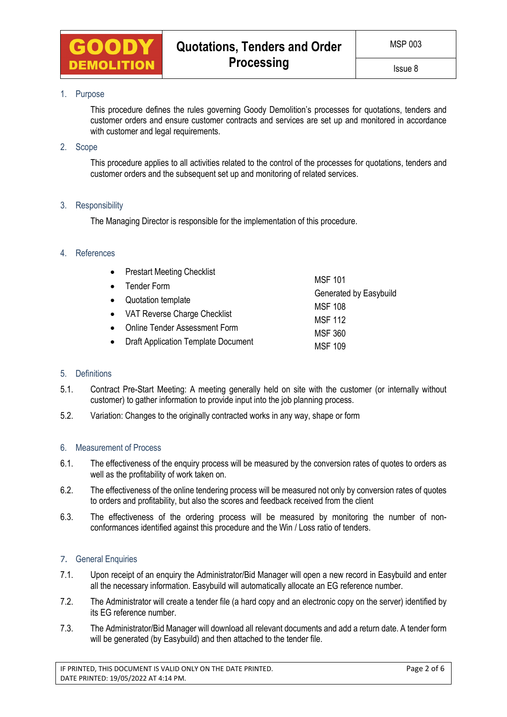

## <span id="page-1-0"></span>1. Purpose

This procedure defines the rules governing Goody Demolition's processes for quotations, tenders and customer orders and ensure customer contracts and services are set up and monitored in accordance with customer and legal requirements.

## <span id="page-1-1"></span>2. Scope

This procedure applies to all activities related to the control of the processes for quotations, tenders and customer orders and the subsequent set up and monitoring of related services.

## <span id="page-1-2"></span>3. Responsibility

The Managing Director is responsible for the implementation of this procedure.

## <span id="page-1-3"></span>4. References

| $\bullet$ | <b>Prestart Meeting Checklist</b>          |                                          |  |  |
|-----------|--------------------------------------------|------------------------------------------|--|--|
|           | <b>MSF 101</b><br><b>Tender Form</b>       |                                          |  |  |
|           | Quotation template                         | Generated by Easybuild<br><b>MSF 108</b> |  |  |
|           | VAT Reverse Charge Checklist               | <b>MSF 112</b>                           |  |  |
|           | <b>Online Tender Assessment Form</b>       | <b>MSF 360</b>                           |  |  |
|           | <b>Draft Application Template Document</b> | <b>MSF 109</b>                           |  |  |

### <span id="page-1-4"></span>5. Definitions

- 5.1. Contract Pre-Start Meeting: A meeting generally held on site with the customer (or internally without customer) to gather information to provide input into the job planning process.
- 5.2. Variation: Changes to the originally contracted works in any way, shape or form

### <span id="page-1-5"></span>6. Measurement of Process

- 6.1. The effectiveness of the enquiry process will be measured by the conversion rates of quotes to orders as well as the profitability of work taken on.
- 6.2. The effectiveness of the online tendering process will be measured not only by conversion rates of quotes to orders and profitability, but also the scores and feedback received from the client
- 6.3. The effectiveness of the ordering process will be measured by monitoring the number of nonconformances identified against this procedure and the Win / Loss ratio of tenders.

## <span id="page-1-6"></span>7. General Enquiries

- 7.1. Upon receipt of an enquiry the Administrator/Bid Manager will open a new record in Easybuild and enter all the necessary information. Easybuild will automatically allocate an EG reference number.
- 7.2. The Administrator will create a tender file (a hard copy and an electronic copy on the server) identified by its EG reference number.
- 7.3. The Administrator/Bid Manager will download all relevant documents and add a return date. A tender form will be generated (by Easybuild) and then attached to the tender file.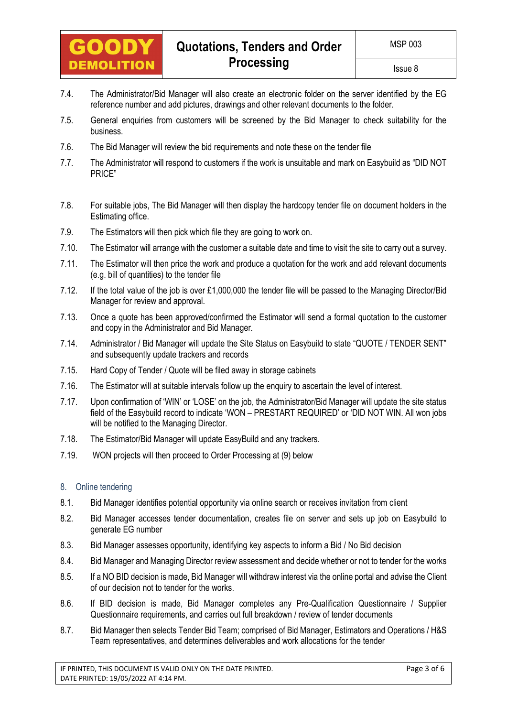

- 7.4. The Administrator/Bid Manager will also create an electronic folder on the server identified by the EG reference number and add pictures, drawings and other relevant documents to the folder.
- 7.5. General enquiries from customers will be screened by the Bid Manager to check suitability for the business.
- 7.6. The Bid Manager will review the bid requirements and note these on the tender file
- 7.7. The Administrator will respond to customers if the work is unsuitable and mark on Easybuild as "DID NOT PRICE"
- 7.8. For suitable jobs, The Bid Manager will then display the hardcopy tender file on document holders in the Estimating office.
- 7.9. The Estimators will then pick which file they are going to work on.
- 7.10. The Estimator will arrange with the customer a suitable date and time to visit the site to carry out a survey.
- 7.11. The Estimator will then price the work and produce a quotation for the work and add relevant documents (e.g. bill of quantities) to the tender file
- 7.12. If the total value of the job is over £1,000,000 the tender file will be passed to the Managing Director/Bid Manager for review and approval.
- 7.13. Once a quote has been approved/confirmed the Estimator will send a formal quotation to the customer and copy in the Administrator and Bid Manager.
- 7.14. Administrator / Bid Manager will update the Site Status on Easybuild to state "QUOTE / TENDER SENT" and subsequently update trackers and records
- 7.15. Hard Copy of Tender / Quote will be filed away in storage cabinets
- 7.16. The Estimator will at suitable intervals follow up the enquiry to ascertain the level of interest.
- 7.17. Upon confirmation of 'WIN' or 'LOSE' on the job, the Administrator/Bid Manager will update the site status field of the Easybuild record to indicate 'WON – PRESTART REQUIRED' or 'DID NOT WIN. All won jobs will be notified to the Managing Director.
- 7.18. The Estimator/Bid Manager will update EasyBuild and any trackers.
- 7.19. WON projects will then proceed to Order Processing at (9) below

### <span id="page-2-0"></span>8. Online tendering

- 8.1. Bid Manager identifies potential opportunity via online search or receives invitation from client
- 8.2. Bid Manager accesses tender documentation, creates file on server and sets up job on Easybuild to generate EG number
- 8.3. Bid Manager assesses opportunity, identifying key aspects to inform a Bid / No Bid decision
- 8.4. Bid Manager and Managing Director review assessment and decide whether or not to tender for the works
- 8.5. If a NO BID decision is made, Bid Manager will withdraw interest via the online portal and advise the Client of our decision not to tender for the works.
- 8.6. If BID decision is made, Bid Manager completes any Pre-Qualification Questionnaire / Supplier Questionnaire requirements, and carries out full breakdown / review of tender documents
- 8.7. Bid Manager then selects Tender Bid Team; comprised of Bid Manager, Estimators and Operations / H&S Team representatives, and determines deliverables and work allocations for the tender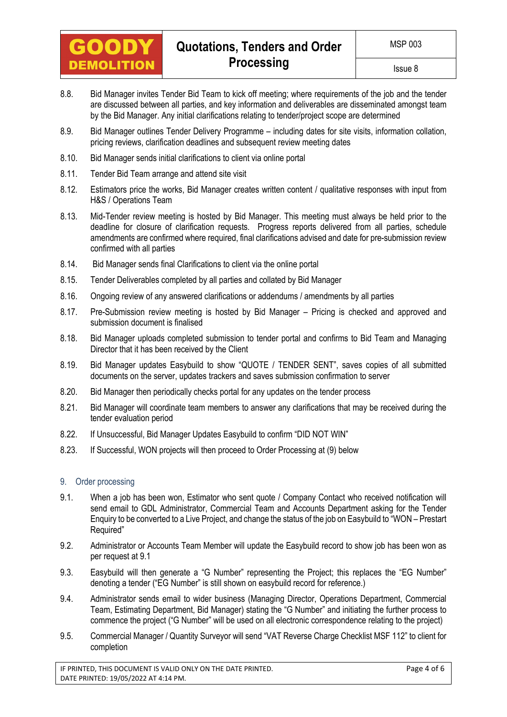

- 8.8. Bid Manager invites Tender Bid Team to kick off meeting; where requirements of the job and the tender are discussed between all parties, and key information and deliverables are disseminated amongst team by the Bid Manager. Any initial clarifications relating to tender/project scope are determined
- 8.9. Bid Manager outlines Tender Delivery Programme including dates for site visits, information collation, pricing reviews, clarification deadlines and subsequent review meeting dates
- 8.10. Bid Manager sends initial clarifications to client via online portal
- 8.11. Tender Bid Team arrange and attend site visit
- 8.12. Estimators price the works, Bid Manager creates written content / qualitative responses with input from H&S / Operations Team
- 8.13. Mid-Tender review meeting is hosted by Bid Manager. This meeting must always be held prior to the deadline for closure of clarification requests. Progress reports delivered from all parties, schedule amendments are confirmed where required, final clarifications advised and date for pre-submission review confirmed with all parties
- 8.14. Bid Manager sends final Clarifications to client via the online portal
- 8.15. Tender Deliverables completed by all parties and collated by Bid Manager
- 8.16. Ongoing review of any answered clarifications or addendums / amendments by all parties
- 8.17. Pre-Submission review meeting is hosted by Bid Manager Pricing is checked and approved and submission document is finalised
- 8.18. Bid Manager uploads completed submission to tender portal and confirms to Bid Team and Managing Director that it has been received by the Client
- 8.19. Bid Manager updates Easybuild to show "QUOTE / TENDER SENT", saves copies of all submitted documents on the server, updates trackers and saves submission confirmation to server
- 8.20. Bid Manager then periodically checks portal for any updates on the tender process
- 8.21. Bid Manager will coordinate team members to answer any clarifications that may be received during the tender evaluation period
- 8.22. If Unsuccessful, Bid Manager Updates Easybuild to confirm "DID NOT WIN"
- 8.23. If Successful, WON projects will then proceed to Order Processing at (9) below

### <span id="page-3-0"></span>9. Order processing

- 9.1. When a job has been won, Estimator who sent quote / Company Contact who received notification will send email to GDL Administrator, Commercial Team and Accounts Department asking for the Tender Enquiry to be converted to a Live Project, and change the status of the job on Easybuild to "WON – Prestart Required"
- 9.2. Administrator or Accounts Team Member will update the Easybuild record to show job has been won as per request at 9.1
- 9.3. Easybuild will then generate a "G Number" representing the Project; this replaces the "EG Number" denoting a tender ("EG Number" is still shown on easybuild record for reference.)
- 9.4. Administrator sends email to wider business (Managing Director, Operations Department, Commercial Team, Estimating Department, Bid Manager) stating the "G Number" and initiating the further process to commence the project ("G Number" will be used on all electronic correspondence relating to the project)
- 9.5. Commercial Manager / Quantity Surveyor will send "VAT Reverse Charge Checklist MSF 112" to client for completion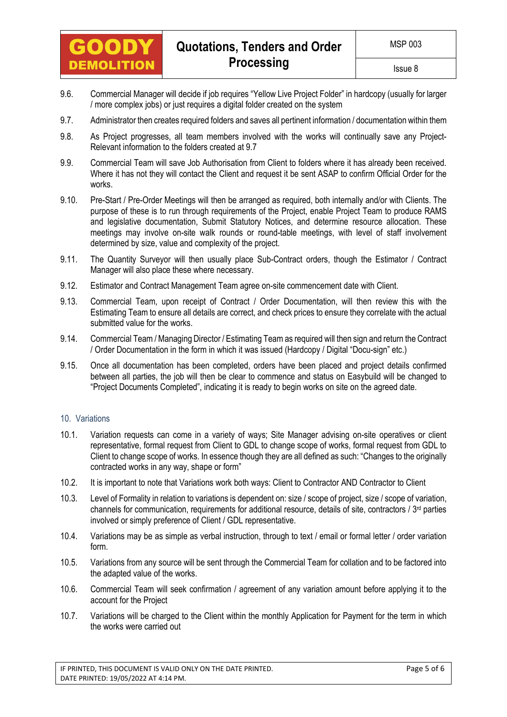

- 9.6. Commercial Manager will decide if job requires "Yellow Live Project Folder" in hardcopy (usually for larger / more complex jobs) or just requires a digital folder created on the system
- 9.7. Administrator then creates required folders and saves all pertinent information / documentation within them
- 9.8. As Project progresses, all team members involved with the works will continually save any Project-Relevant information to the folders created at 9.7
- 9.9. Commercial Team will save Job Authorisation from Client to folders where it has already been received. Where it has not they will contact the Client and request it be sent ASAP to confirm Official Order for the works.
- 9.10. Pre-Start / Pre-Order Meetings will then be arranged as required, both internally and/or with Clients. The purpose of these is to run through requirements of the Project, enable Project Team to produce RAMS and legislative documentation, Submit Statutory Notices, and determine resource allocation. These meetings may involve on-site walk rounds or round-table meetings, with level of staff involvement determined by size, value and complexity of the project.
- 9.11. The Quantity Surveyor will then usually place Sub-Contract orders, though the Estimator / Contract Manager will also place these where necessary.
- 9.12. Estimator and Contract Management Team agree on-site commencement date with Client.
- 9.13. Commercial Team, upon receipt of Contract / Order Documentation, will then review this with the Estimating Team to ensure all details are correct, and check prices to ensure they correlate with the actual submitted value for the works.
- 9.14. Commercial Team / Managing Director / Estimating Team as required will then sign and return the Contract / Order Documentation in the form in which it was issued (Hardcopy / Digital "Docu-sign" etc.)
- 9.15. Once all documentation has been completed, orders have been placed and project details confirmed between all parties, the job will then be clear to commence and status on Easybuild will be changed to "Project Documents Completed", indicating it is ready to begin works on site on the agreed date.

### <span id="page-4-0"></span>10. Variations

- 10.1. Variation requests can come in a variety of ways; Site Manager advising on-site operatives or client representative, formal request from Client to GDL to change scope of works, formal request from GDL to Client to change scope of works. In essence though they are all defined as such: "Changes to the originally contracted works in any way, shape or form"
- 10.2. It is important to note that Variations work both ways: Client to Contractor AND Contractor to Client
- 10.3. Level of Formality in relation to variations is dependent on: size / scope of project, size / scope of variation, channels for communication, requirements for additional resource, details of site, contractors /  $3<sup>rd</sup>$  parties involved or simply preference of Client / GDL representative.
- 10.4. Variations may be as simple as verbal instruction, through to text / email or formal letter / order variation form.
- 10.5. Variations from any source will be sent through the Commercial Team for collation and to be factored into the adapted value of the works.
- 10.6. Commercial Team will seek confirmation / agreement of any variation amount before applying it to the account for the Project
- 10.7. Variations will be charged to the Client within the monthly Application for Payment for the term in which the works were carried out